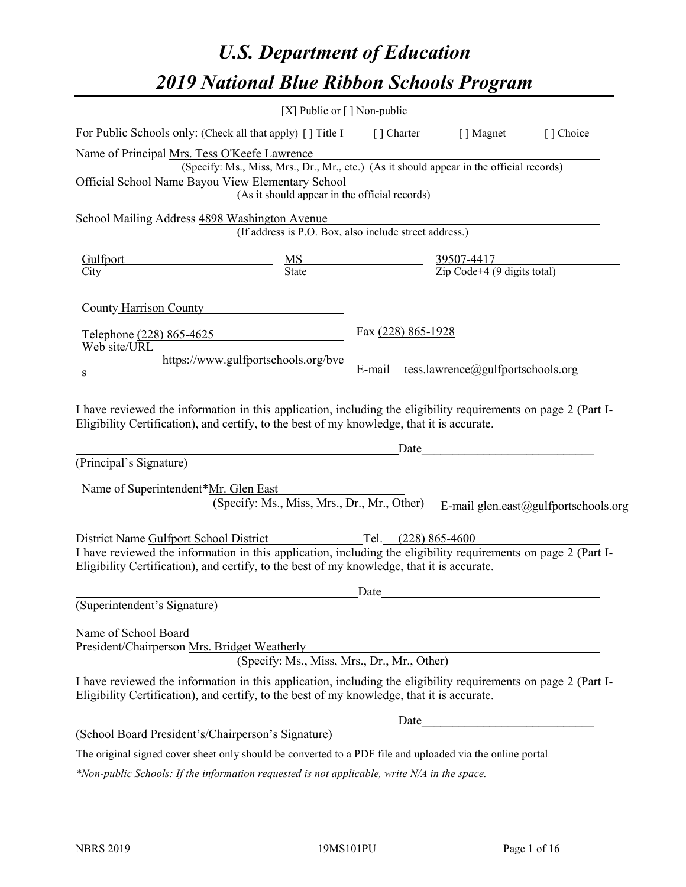# *U.S. Department of Education 2019 National Blue Ribbon Schools Program*

|                                                                                                                                                                                                              | [X] Public or [] Non-public                                                              |                                                         |                                   |                                      |
|--------------------------------------------------------------------------------------------------------------------------------------------------------------------------------------------------------------|------------------------------------------------------------------------------------------|---------------------------------------------------------|-----------------------------------|--------------------------------------|
| For Public Schools only: (Check all that apply) [] Title I                                                                                                                                                   |                                                                                          |                                                         | [] Charter [] Magnet              | [] Choice                            |
| Name of Principal Mrs. Tess O'Keefe Lawrence                                                                                                                                                                 |                                                                                          |                                                         |                                   |                                      |
|                                                                                                                                                                                                              | (Specify: Ms., Miss, Mrs., Dr., Mr., etc.) (As it should appear in the official records) |                                                         |                                   |                                      |
| Official School Name Bayou View Elementary School                                                                                                                                                            |                                                                                          |                                                         |                                   |                                      |
|                                                                                                                                                                                                              | (As it should appear in the official records)                                            |                                                         |                                   |                                      |
| School Mailing Address 4898 Washington Avenue                                                                                                                                                                |                                                                                          |                                                         |                                   |                                      |
|                                                                                                                                                                                                              | (If address is P.O. Box, also include street address.)                                   |                                                         |                                   |                                      |
| Gulfport                                                                                                                                                                                                     | $\frac{MS}{State}$                                                                       | $\frac{39507-4417}{\text{Zip Code}+4 (9 digits total)}$ |                                   |                                      |
| City                                                                                                                                                                                                         |                                                                                          |                                                         |                                   |                                      |
| County Harrison County                                                                                                                                                                                       |                                                                                          |                                                         |                                   |                                      |
|                                                                                                                                                                                                              |                                                                                          |                                                         |                                   |                                      |
| Telephone (228) 865-4625                                                                                                                                                                                     |                                                                                          | Fax (228) 865-1928                                      |                                   |                                      |
| Web site/URL                                                                                                                                                                                                 | https://www.gulfportschools.org/bve                                                      |                                                         |                                   |                                      |
|                                                                                                                                                                                                              |                                                                                          | E-mail                                                  | tess.lawrence@gulfportschools.org |                                      |
|                                                                                                                                                                                                              |                                                                                          |                                                         |                                   |                                      |
| I have reviewed the information in this application, including the eligibility requirements on page 2 (Part I-                                                                                               |                                                                                          |                                                         |                                   |                                      |
| Eligibility Certification), and certify, to the best of my knowledge, that it is accurate.                                                                                                                   |                                                                                          |                                                         |                                   |                                      |
|                                                                                                                                                                                                              |                                                                                          | Date                                                    |                                   |                                      |
| (Principal's Signature)                                                                                                                                                                                      |                                                                                          |                                                         |                                   |                                      |
| Name of Superintendent*Mr. Glen East                                                                                                                                                                         |                                                                                          |                                                         |                                   |                                      |
|                                                                                                                                                                                                              | (Specify: Ms., Miss, Mrs., Dr., Mr., Other)                                              |                                                         |                                   | E-mail glen.east@gulfportschools.org |
|                                                                                                                                                                                                              |                                                                                          |                                                         |                                   |                                      |
| District Name Gulfport School District                                                                                                                                                                       |                                                                                          | Tel. $(228) 865-4600$                                   |                                   |                                      |
| I have reviewed the information in this application, including the eligibility requirements on page 2 (Part I-                                                                                               |                                                                                          |                                                         |                                   |                                      |
| Eligibility Certification), and certify, to the best of my knowledge, that it is accurate.                                                                                                                   |                                                                                          |                                                         |                                   |                                      |
|                                                                                                                                                                                                              |                                                                                          | Date                                                    |                                   |                                      |
| (Superintendent's Signature)                                                                                                                                                                                 |                                                                                          |                                                         |                                   |                                      |
| Name of School Board                                                                                                                                                                                         |                                                                                          |                                                         |                                   |                                      |
| President/Chairperson Mrs. Bridget Weatherly                                                                                                                                                                 |                                                                                          |                                                         |                                   |                                      |
|                                                                                                                                                                                                              | (Specify: Ms., Miss, Mrs., Dr., Mr., Other)                                              |                                                         |                                   |                                      |
| I have reviewed the information in this application, including the eligibility requirements on page 2 (Part I-<br>Eligibility Certification), and certify, to the best of my knowledge, that it is accurate. |                                                                                          |                                                         |                                   |                                      |
|                                                                                                                                                                                                              |                                                                                          | Date                                                    |                                   |                                      |
| (School Board President's/Chairperson's Signature)                                                                                                                                                           |                                                                                          |                                                         |                                   |                                      |
| The original signed cover sheet only should be converted to a PDF file and uploaded via the online portal.                                                                                                   |                                                                                          |                                                         |                                   |                                      |

*\*Non-public Schools: If the information requested is not applicable, write N/A in the space.*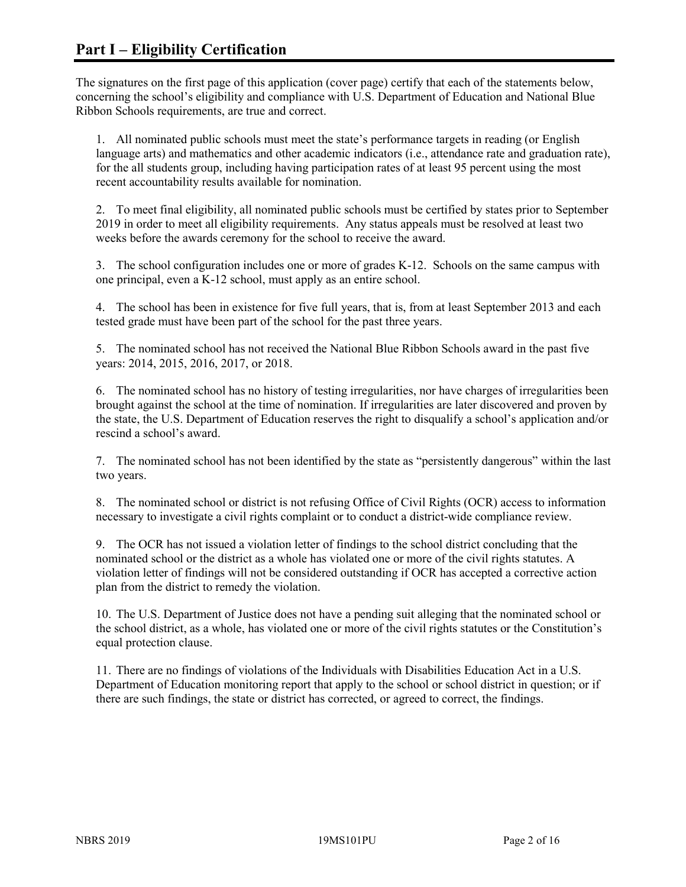The signatures on the first page of this application (cover page) certify that each of the statements below, concerning the school's eligibility and compliance with U.S. Department of Education and National Blue Ribbon Schools requirements, are true and correct.

1. All nominated public schools must meet the state's performance targets in reading (or English language arts) and mathematics and other academic indicators (i.e., attendance rate and graduation rate), for the all students group, including having participation rates of at least 95 percent using the most recent accountability results available for nomination.

2. To meet final eligibility, all nominated public schools must be certified by states prior to September 2019 in order to meet all eligibility requirements. Any status appeals must be resolved at least two weeks before the awards ceremony for the school to receive the award.

3. The school configuration includes one or more of grades K-12. Schools on the same campus with one principal, even a K-12 school, must apply as an entire school.

4. The school has been in existence for five full years, that is, from at least September 2013 and each tested grade must have been part of the school for the past three years.

5. The nominated school has not received the National Blue Ribbon Schools award in the past five years: 2014, 2015, 2016, 2017, or 2018.

6. The nominated school has no history of testing irregularities, nor have charges of irregularities been brought against the school at the time of nomination. If irregularities are later discovered and proven by the state, the U.S. Department of Education reserves the right to disqualify a school's application and/or rescind a school's award.

7. The nominated school has not been identified by the state as "persistently dangerous" within the last two years.

8. The nominated school or district is not refusing Office of Civil Rights (OCR) access to information necessary to investigate a civil rights complaint or to conduct a district-wide compliance review.

9. The OCR has not issued a violation letter of findings to the school district concluding that the nominated school or the district as a whole has violated one or more of the civil rights statutes. A violation letter of findings will not be considered outstanding if OCR has accepted a corrective action plan from the district to remedy the violation.

10. The U.S. Department of Justice does not have a pending suit alleging that the nominated school or the school district, as a whole, has violated one or more of the civil rights statutes or the Constitution's equal protection clause.

11. There are no findings of violations of the Individuals with Disabilities Education Act in a U.S. Department of Education monitoring report that apply to the school or school district in question; or if there are such findings, the state or district has corrected, or agreed to correct, the findings.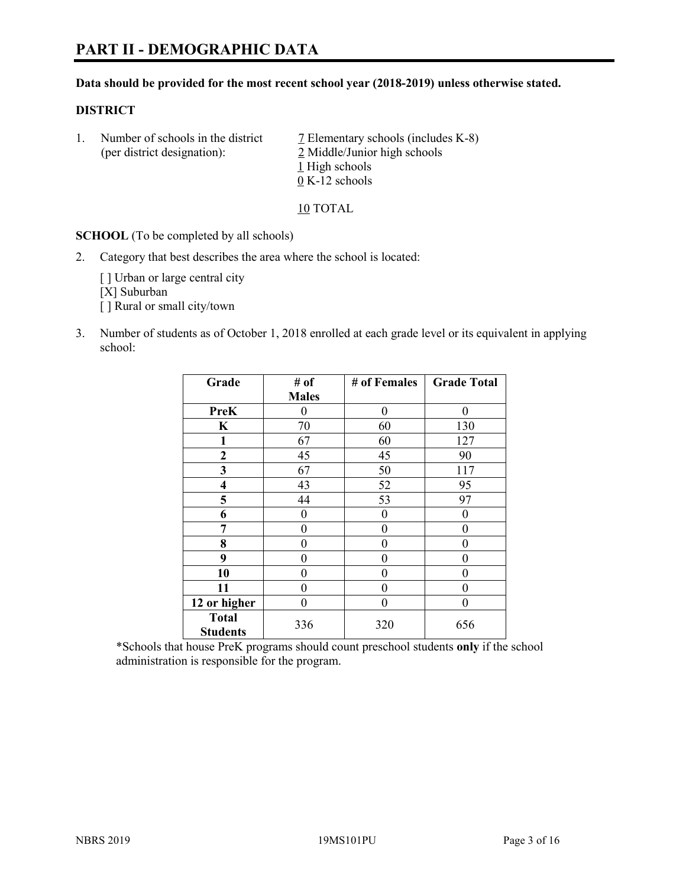#### **Data should be provided for the most recent school year (2018-2019) unless otherwise stated.**

#### **DISTRICT**

1. Number of schools in the district  $\overline{7}$  Elementary schools (includes K-8) (per district designation): 2 Middle/Junior high schools 1 High schools 0 K-12 schools

10 TOTAL

**SCHOOL** (To be completed by all schools)

2. Category that best describes the area where the school is located:

[ ] Urban or large central city [X] Suburban [] Rural or small city/town

3. Number of students as of October 1, 2018 enrolled at each grade level or its equivalent in applying school:

| Grade                   | # of         | # of Females   | <b>Grade Total</b> |
|-------------------------|--------------|----------------|--------------------|
|                         | <b>Males</b> |                |                    |
| <b>PreK</b>             | 0            | $\overline{0}$ | 0                  |
| $\bf K$                 | 70           | 60             | 130                |
| 1                       | 67           | 60             | 127                |
| 2                       | 45           | 45             | 90                 |
| 3                       | 67           | 50             | 117                |
| $\overline{\mathbf{4}}$ | 43           | 52             | 95                 |
| 5                       | 44           | 53             | 97                 |
| 6                       | 0            | $\theta$       | 0                  |
| 7                       | 0            | $\theta$       | 0                  |
| 8                       | 0            | $\theta$       | 0                  |
| 9                       | 0            | $\theta$       | $\theta$           |
| 10                      | 0            | 0              | 0                  |
| 11                      | 0            | 0              | 0                  |
| 12 or higher            | $\theta$     | 0              | $\mathbf{0}$       |
| <b>Total</b>            | 336          | 320            | 656                |
| <b>Students</b>         |              |                |                    |

\*Schools that house PreK programs should count preschool students **only** if the school administration is responsible for the program.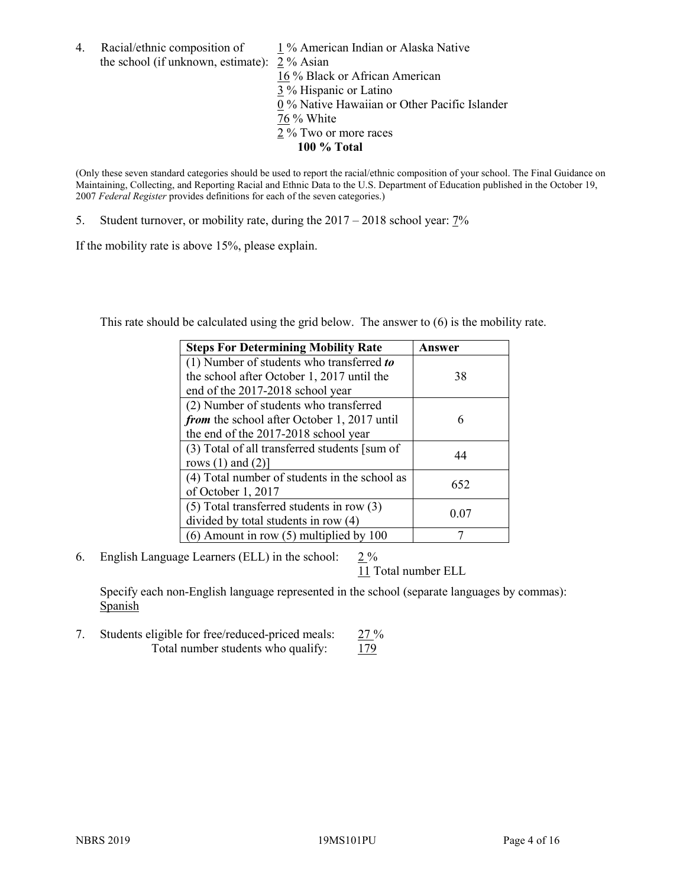- 4. Racial/ethnic composition of  $1\%$  American Indian or Alaska Native the school (if unknown, estimate): 2 % Asian 16 % Black or African American 3 % Hispanic or Latino 0 % Native Hawaiian or Other Pacific Islander 76 % White
	- 2 % Two or more races
		- **100 % Total**

(Only these seven standard categories should be used to report the racial/ethnic composition of your school. The Final Guidance on Maintaining, Collecting, and Reporting Racial and Ethnic Data to the U.S. Department of Education published in the October 19, 2007 *Federal Register* provides definitions for each of the seven categories.)

5. Student turnover, or mobility rate, during the 2017 – 2018 school year: 7%

If the mobility rate is above 15%, please explain.

This rate should be calculated using the grid below. The answer to (6) is the mobility rate.

| <b>Steps For Determining Mobility Rate</b>    | Answer |
|-----------------------------------------------|--------|
| (1) Number of students who transferred to     |        |
| the school after October 1, 2017 until the    | 38     |
| end of the 2017-2018 school year              |        |
| (2) Number of students who transferred        |        |
| from the school after October 1, 2017 until   | 6      |
| the end of the 2017-2018 school year          |        |
| (3) Total of all transferred students [sum of | 44     |
| rows $(1)$ and $(2)$ ]                        |        |
| (4) Total number of students in the school as |        |
| of October 1, 2017                            | 652    |
| $(5)$ Total transferred students in row $(3)$ |        |
| divided by total students in row (4)          | 0.07   |
| $(6)$ Amount in row $(5)$ multiplied by 100   |        |

6. English Language Learners (ELL) in the school:  $2\%$ 

11 Total number ELL

Specify each non-English language represented in the school (separate languages by commas): **Spanish** 

7. Students eligible for free/reduced-priced meals: 27 % Total number students who qualify:  $179$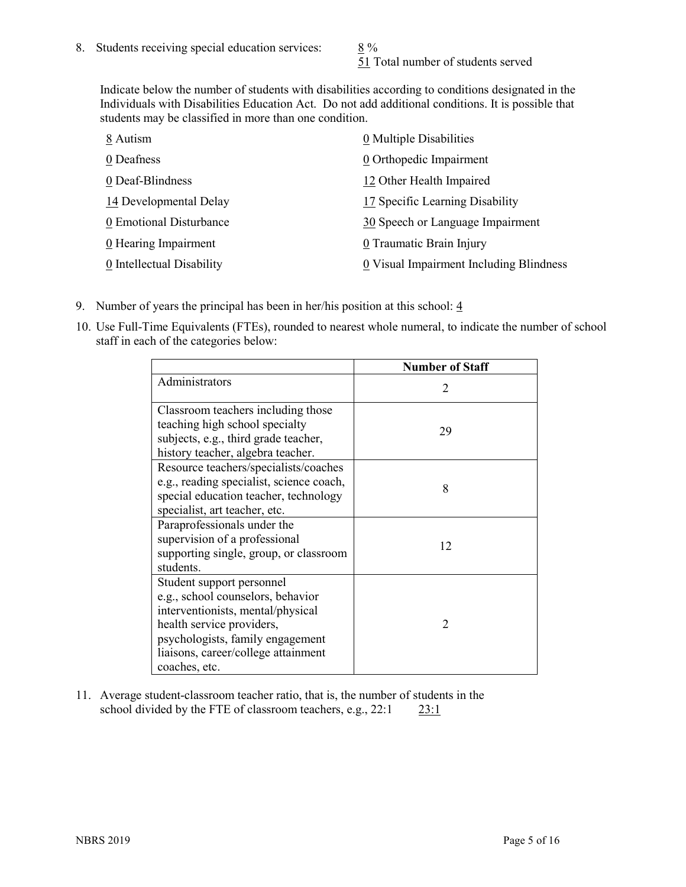51 Total number of students served

Indicate below the number of students with disabilities according to conditions designated in the Individuals with Disabilities Education Act. Do not add additional conditions. It is possible that students may be classified in more than one condition.

| 8 Autism                           | 0 Multiple Disabilities                 |
|------------------------------------|-----------------------------------------|
| 0 Deafness                         | 0 Orthopedic Impairment                 |
| 0 Deaf-Blindness                   | 12 Other Health Impaired                |
| 14 Developmental Delay             | 17 Specific Learning Disability         |
| 0 Emotional Disturbance            | 30 Speech or Language Impairment        |
| $\underline{0}$ Hearing Impairment | 0 Traumatic Brain Injury                |
| 0 Intellectual Disability          | 0 Visual Impairment Including Blindness |

- 9. Number of years the principal has been in her/his position at this school:  $\frac{4}{3}$
- 10. Use Full-Time Equivalents (FTEs), rounded to nearest whole numeral, to indicate the number of school staff in each of the categories below:

|                                                                                                                                                                                                                              | <b>Number of Staff</b>      |
|------------------------------------------------------------------------------------------------------------------------------------------------------------------------------------------------------------------------------|-----------------------------|
| Administrators                                                                                                                                                                                                               | $\mathcal{D}_{\mathcal{L}}$ |
| Classroom teachers including those<br>teaching high school specialty<br>subjects, e.g., third grade teacher,<br>history teacher, algebra teacher.                                                                            | 29                          |
| Resource teachers/specialists/coaches<br>e.g., reading specialist, science coach,<br>special education teacher, technology<br>specialist, art teacher, etc.                                                                  | 8                           |
| Paraprofessionals under the<br>supervision of a professional<br>supporting single, group, or classroom<br>students.                                                                                                          | 12                          |
| Student support personnel<br>e.g., school counselors, behavior<br>interventionists, mental/physical<br>health service providers,<br>psychologists, family engagement<br>liaisons, career/college attainment<br>coaches, etc. | $\mathfrak{D}$              |

11. Average student-classroom teacher ratio, that is, the number of students in the school divided by the FTE of classroom teachers, e.g., 22:1 23:1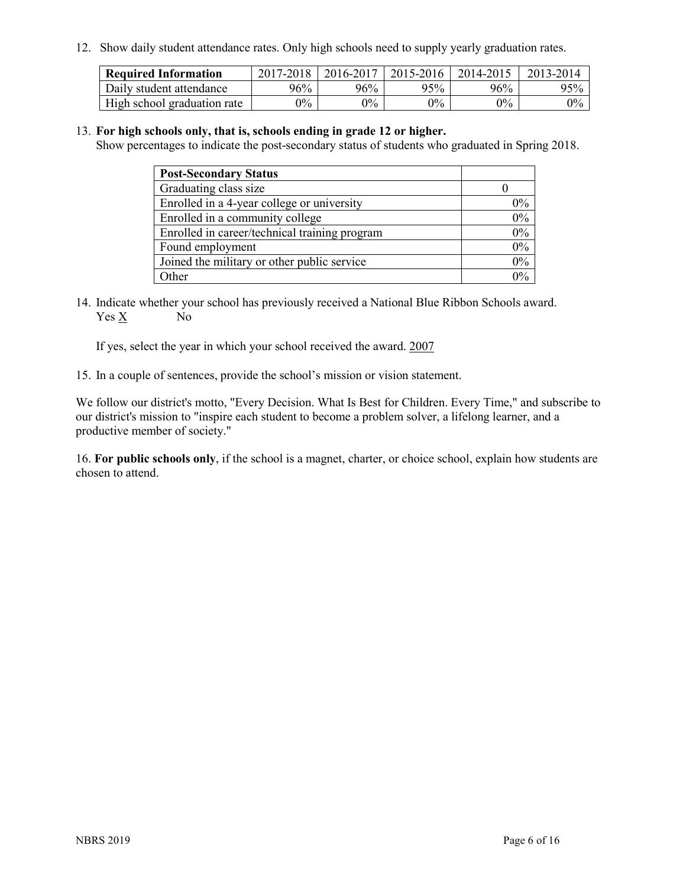12. Show daily student attendance rates. Only high schools need to supply yearly graduation rates.

| <b>Required Information</b> | 2017-2018 | 2016-2017 | 2015-2016 | 2014-2015 | 2013-2014 |
|-----------------------------|-----------|-----------|-----------|-----------|-----------|
| Daily student attendance    | 96%       | 96%       | 95%       | 96%       | 95%       |
| High school graduation rate | $0\%$     | $0\%$     | $0\%$     | $0\%$     | $0\%$     |

#### 13. **For high schools only, that is, schools ending in grade 12 or higher.**

Show percentages to indicate the post-secondary status of students who graduated in Spring 2018.

| <b>Post-Secondary Status</b>                  |       |
|-----------------------------------------------|-------|
| Graduating class size                         |       |
| Enrolled in a 4-year college or university    | $0\%$ |
| Enrolled in a community college               | 0%    |
| Enrolled in career/technical training program | 0%    |
| Found employment                              | 0%    |
| Joined the military or other public service   | 0%    |
| Other                                         | $0\%$ |

14. Indicate whether your school has previously received a National Blue Ribbon Schools award. Yes X No

If yes, select the year in which your school received the award. 2007

15. In a couple of sentences, provide the school's mission or vision statement.

We follow our district's motto, "Every Decision. What Is Best for Children. Every Time," and subscribe to our district's mission to "inspire each student to become a problem solver, a lifelong learner, and a productive member of society."

16. **For public schools only**, if the school is a magnet, charter, or choice school, explain how students are chosen to attend.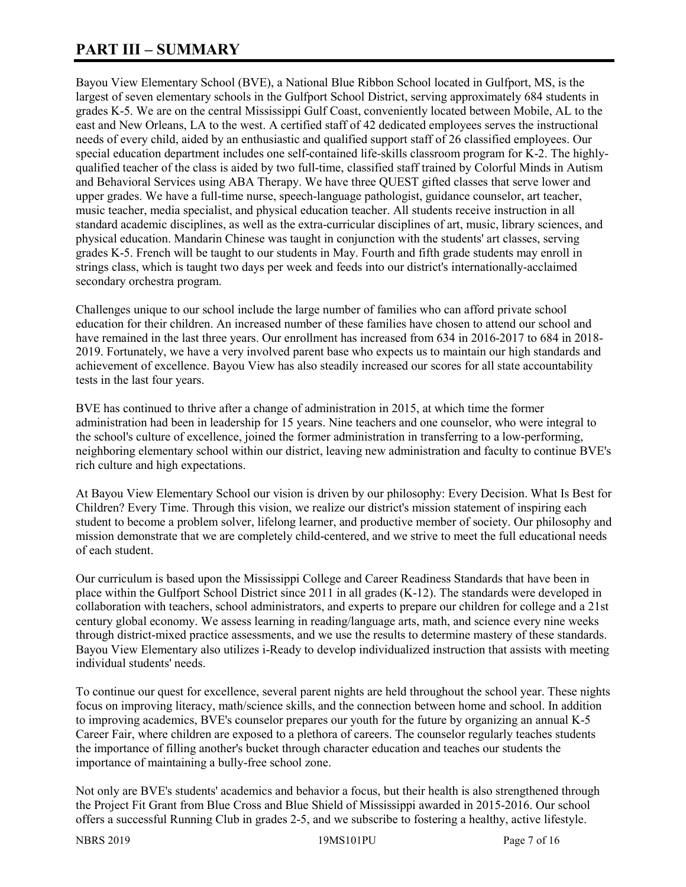# **PART III – SUMMARY**

Bayou View Elementary School (BVE), a National Blue Ribbon School located in Gulfport, MS, is the largest of seven elementary schools in the Gulfport School District, serving approximately 684 students in grades K-5. We are on the central Mississippi Gulf Coast, conveniently located between Mobile, AL to the east and New Orleans, LA to the west. A certified staff of 42 dedicated employees serves the instructional needs of every child, aided by an enthusiastic and qualified support staff of 26 classified employees. Our special education department includes one self-contained life-skills classroom program for K-2. The highlyqualified teacher of the class is aided by two full-time, classified staff trained by Colorful Minds in Autism and Behavioral Services using ABA Therapy. We have three QUEST gifted classes that serve lower and upper grades. We have a full-time nurse, speech-language pathologist, guidance counselor, art teacher, music teacher, media specialist, and physical education teacher. All students receive instruction in all standard academic disciplines, as well as the extra-curricular disciplines of art, music, library sciences, and physical education. Mandarin Chinese was taught in conjunction with the students' art classes, serving grades K-5. French will be taught to our students in May. Fourth and fifth grade students may enroll in strings class, which is taught two days per week and feeds into our district's internationally-acclaimed secondary orchestra program.

Challenges unique to our school include the large number of families who can afford private school education for their children. An increased number of these families have chosen to attend our school and have remained in the last three years. Our enrollment has increased from 634 in 2016-2017 to 684 in 2018- 2019. Fortunately, we have a very involved parent base who expects us to maintain our high standards and achievement of excellence. Bayou View has also steadily increased our scores for all state accountability tests in the last four years.

BVE has continued to thrive after a change of administration in 2015, at which time the former administration had been in leadership for 15 years. Nine teachers and one counselor, who were integral to the school's culture of excellence, joined the former administration in transferring to a low-performing, neighboring elementary school within our district, leaving new administration and faculty to continue BVE's rich culture and high expectations.

At Bayou View Elementary School our vision is driven by our philosophy: Every Decision. What Is Best for Children? Every Time. Through this vision, we realize our district's mission statement of inspiring each student to become a problem solver, lifelong learner, and productive member of society. Our philosophy and mission demonstrate that we are completely child-centered, and we strive to meet the full educational needs of each student.

Our curriculum is based upon the Mississippi College and Career Readiness Standards that have been in place within the Gulfport School District since 2011 in all grades (K-12). The standards were developed in collaboration with teachers, school administrators, and experts to prepare our children for college and a 21st century global economy. We assess learning in reading/language arts, math, and science every nine weeks through district-mixed practice assessments, and we use the results to determine mastery of these standards. Bayou View Elementary also utilizes i-Ready to develop individualized instruction that assists with meeting individual students' needs.

To continue our quest for excellence, several parent nights are held throughout the school year. These nights focus on improving literacy, math/science skills, and the connection between home and school. In addition to improving academics, BVE's counselor prepares our youth for the future by organizing an annual K-5 Career Fair, where children are exposed to a plethora of careers. The counselor regularly teaches students the importance of filling another's bucket through character education and teaches our students the importance of maintaining a bully-free school zone.

Not only are BVE's students' academics and behavior a focus, but their health is also strengthened through the Project Fit Grant from Blue Cross and Blue Shield of Mississippi awarded in 2015-2016. Our school offers a successful Running Club in grades 2-5, and we subscribe to fostering a healthy, active lifestyle.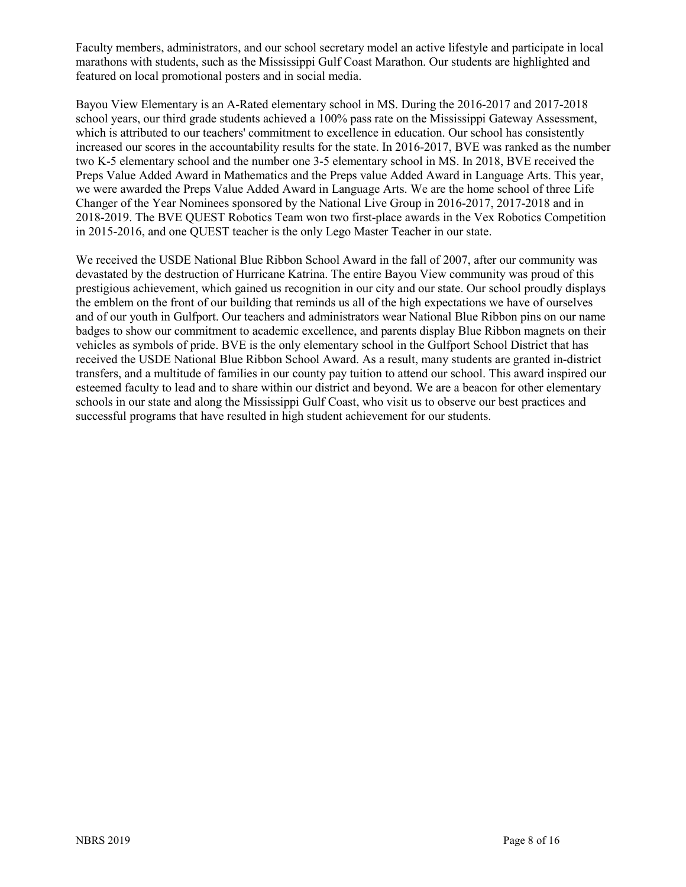Faculty members, administrators, and our school secretary model an active lifestyle and participate in local marathons with students, such as the Mississippi Gulf Coast Marathon. Our students are highlighted and featured on local promotional posters and in social media.

Bayou View Elementary is an A-Rated elementary school in MS. During the 2016-2017 and 2017-2018 school years, our third grade students achieved a 100% pass rate on the Mississippi Gateway Assessment, which is attributed to our teachers' commitment to excellence in education. Our school has consistently increased our scores in the accountability results for the state. In 2016-2017, BVE was ranked as the number two K-5 elementary school and the number one 3-5 elementary school in MS. In 2018, BVE received the Preps Value Added Award in Mathematics and the Preps value Added Award in Language Arts. This year, we were awarded the Preps Value Added Award in Language Arts. We are the home school of three Life Changer of the Year Nominees sponsored by the National Live Group in 2016-2017, 2017-2018 and in 2018-2019. The BVE QUEST Robotics Team won two first-place awards in the Vex Robotics Competition in 2015-2016, and one QUEST teacher is the only Lego Master Teacher in our state.

We received the USDE National Blue Ribbon School Award in the fall of 2007, after our community was devastated by the destruction of Hurricane Katrina. The entire Bayou View community was proud of this prestigious achievement, which gained us recognition in our city and our state. Our school proudly displays the emblem on the front of our building that reminds us all of the high expectations we have of ourselves and of our youth in Gulfport. Our teachers and administrators wear National Blue Ribbon pins on our name badges to show our commitment to academic excellence, and parents display Blue Ribbon magnets on their vehicles as symbols of pride. BVE is the only elementary school in the Gulfport School District that has received the USDE National Blue Ribbon School Award. As a result, many students are granted in-district transfers, and a multitude of families in our county pay tuition to attend our school. This award inspired our esteemed faculty to lead and to share within our district and beyond. We are a beacon for other elementary schools in our state and along the Mississippi Gulf Coast, who visit us to observe our best practices and successful programs that have resulted in high student achievement for our students.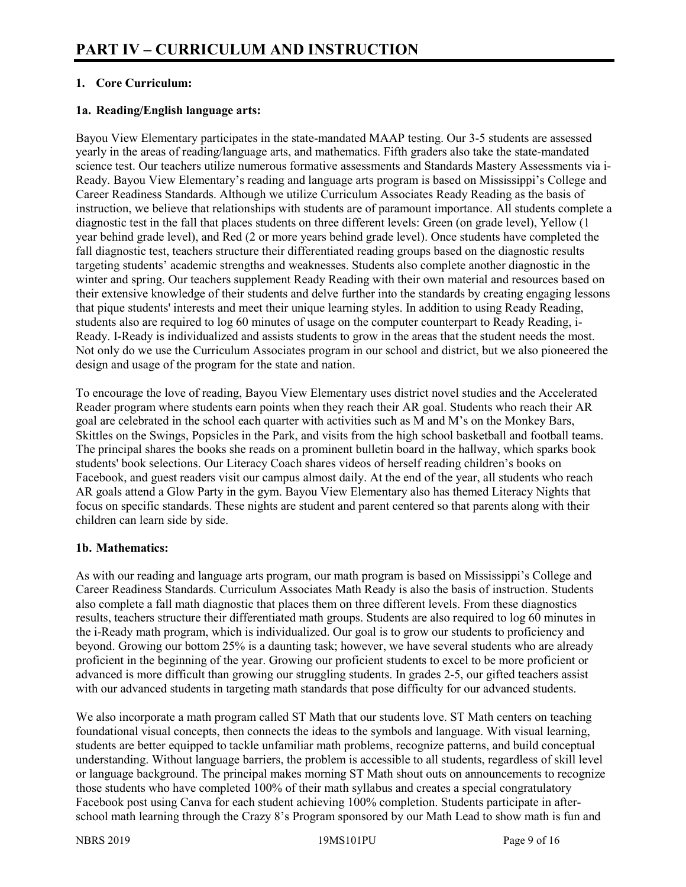#### **1. Core Curriculum:**

#### **1a. Reading/English language arts:**

Bayou View Elementary participates in the state-mandated MAAP testing. Our 3-5 students are assessed yearly in the areas of reading/language arts, and mathematics. Fifth graders also take the state-mandated science test. Our teachers utilize numerous formative assessments and Standards Mastery Assessments via i-Ready. Bayou View Elementary's reading and language arts program is based on Mississippi's College and Career Readiness Standards. Although we utilize Curriculum Associates Ready Reading as the basis of instruction, we believe that relationships with students are of paramount importance. All students complete a diagnostic test in the fall that places students on three different levels: Green (on grade level), Yellow (1 year behind grade level), and Red (2 or more years behind grade level). Once students have completed the fall diagnostic test, teachers structure their differentiated reading groups based on the diagnostic results targeting students' academic strengths and weaknesses. Students also complete another diagnostic in the winter and spring. Our teachers supplement Ready Reading with their own material and resources based on their extensive knowledge of their students and delve further into the standards by creating engaging lessons that pique students' interests and meet their unique learning styles. In addition to using Ready Reading, students also are required to log 60 minutes of usage on the computer counterpart to Ready Reading, i-Ready. I-Ready is individualized and assists students to grow in the areas that the student needs the most. Not only do we use the Curriculum Associates program in our school and district, but we also pioneered the design and usage of the program for the state and nation.

To encourage the love of reading, Bayou View Elementary uses district novel studies and the Accelerated Reader program where students earn points when they reach their AR goal. Students who reach their AR goal are celebrated in the school each quarter with activities such as M and M's on the Monkey Bars, Skittles on the Swings, Popsicles in the Park, and visits from the high school basketball and football teams. The principal shares the books she reads on a prominent bulletin board in the hallway, which sparks book students' book selections. Our Literacy Coach shares videos of herself reading children's books on Facebook, and guest readers visit our campus almost daily. At the end of the year, all students who reach AR goals attend a Glow Party in the gym. Bayou View Elementary also has themed Literacy Nights that focus on specific standards. These nights are student and parent centered so that parents along with their children can learn side by side.

#### **1b. Mathematics:**

As with our reading and language arts program, our math program is based on Mississippi's College and Career Readiness Standards. Curriculum Associates Math Ready is also the basis of instruction. Students also complete a fall math diagnostic that places them on three different levels. From these diagnostics results, teachers structure their differentiated math groups. Students are also required to log 60 minutes in the i-Ready math program, which is individualized. Our goal is to grow our students to proficiency and beyond. Growing our bottom 25% is a daunting task; however, we have several students who are already proficient in the beginning of the year. Growing our proficient students to excel to be more proficient or advanced is more difficult than growing our struggling students. In grades 2-5, our gifted teachers assist with our advanced students in targeting math standards that pose difficulty for our advanced students.

We also incorporate a math program called ST Math that our students love. ST Math centers on teaching foundational visual concepts, then connects the ideas to the symbols and language. With visual learning, students are better equipped to tackle unfamiliar math problems, recognize patterns, and build conceptual understanding. Without language barriers, the problem is accessible to all students, regardless of skill level or language background. The principal makes morning ST Math shout outs on announcements to recognize those students who have completed 100% of their math syllabus and creates a special congratulatory Facebook post using Canva for each student achieving 100% completion. Students participate in afterschool math learning through the Crazy 8's Program sponsored by our Math Lead to show math is fun and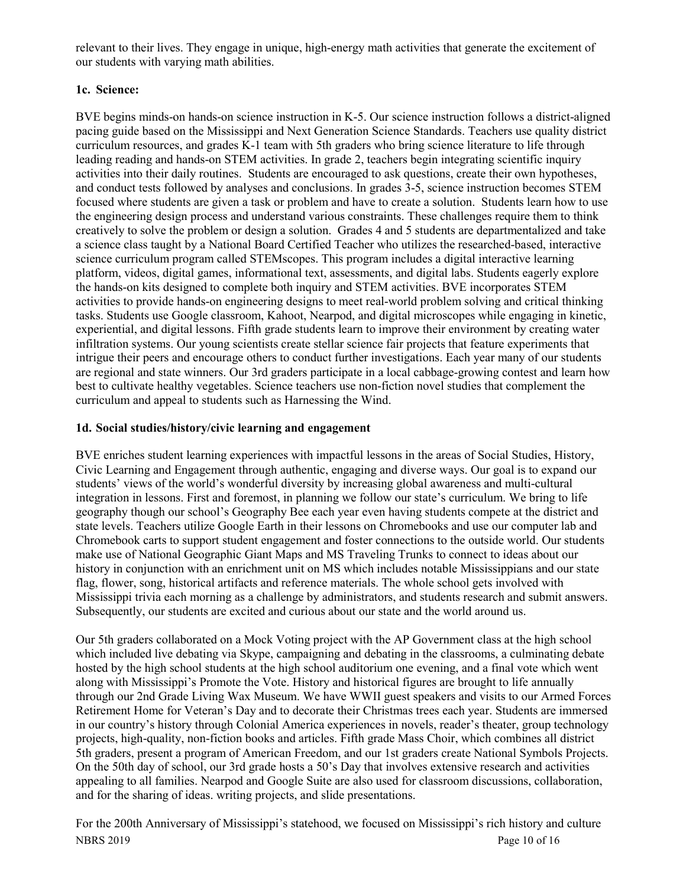relevant to their lives. They engage in unique, high-energy math activities that generate the excitement of our students with varying math abilities.

## **1c. Science:**

BVE begins minds-on hands-on science instruction in K-5. Our science instruction follows a district-aligned pacing guide based on the Mississippi and Next Generation Science Standards. Teachers use quality district curriculum resources, and grades K-1 team with 5th graders who bring science literature to life through leading reading and hands-on STEM activities. In grade 2, teachers begin integrating scientific inquiry activities into their daily routines. Students are encouraged to ask questions, create their own hypotheses, and conduct tests followed by analyses and conclusions. In grades 3-5, science instruction becomes STEM focused where students are given a task or problem and have to create a solution. Students learn how to use the engineering design process and understand various constraints. These challenges require them to think creatively to solve the problem or design a solution. Grades 4 and 5 students are departmentalized and take a science class taught by a National Board Certified Teacher who utilizes the researched-based, interactive science curriculum program called STEMscopes. This program includes a digital interactive learning platform, videos, digital games, informational text, assessments, and digital labs. Students eagerly explore the hands-on kits designed to complete both inquiry and STEM activities. BVE incorporates STEM activities to provide hands-on engineering designs to meet real-world problem solving and critical thinking tasks. Students use Google classroom, Kahoot, Nearpod, and digital microscopes while engaging in kinetic, experiential, and digital lessons. Fifth grade students learn to improve their environment by creating water infiltration systems. Our young scientists create stellar science fair projects that feature experiments that intrigue their peers and encourage others to conduct further investigations. Each year many of our students are regional and state winners. Our 3rd graders participate in a local cabbage-growing contest and learn how best to cultivate healthy vegetables. Science teachers use non-fiction novel studies that complement the curriculum and appeal to students such as Harnessing the Wind.

## **1d. Social studies/history/civic learning and engagement**

BVE enriches student learning experiences with impactful lessons in the areas of Social Studies, History, Civic Learning and Engagement through authentic, engaging and diverse ways. Our goal is to expand our students' views of the world's wonderful diversity by increasing global awareness and multi-cultural integration in lessons. First and foremost, in planning we follow our state's curriculum. We bring to life geography though our school's Geography Bee each year even having students compete at the district and state levels. Teachers utilize Google Earth in their lessons on Chromebooks and use our computer lab and Chromebook carts to support student engagement and foster connections to the outside world. Our students make use of National Geographic Giant Maps and MS Traveling Trunks to connect to ideas about our history in conjunction with an enrichment unit on MS which includes notable Mississippians and our state flag, flower, song, historical artifacts and reference materials. The whole school gets involved with Mississippi trivia each morning as a challenge by administrators, and students research and submit answers. Subsequently, our students are excited and curious about our state and the world around us.

Our 5th graders collaborated on a Mock Voting project with the AP Government class at the high school which included live debating via Skype, campaigning and debating in the classrooms, a culminating debate hosted by the high school students at the high school auditorium one evening, and a final vote which went along with Mississippi's Promote the Vote. History and historical figures are brought to life annually through our 2nd Grade Living Wax Museum. We have WWII guest speakers and visits to our Armed Forces Retirement Home for Veteran's Day and to decorate their Christmas trees each year. Students are immersed in our country's history through Colonial America experiences in novels, reader's theater, group technology projects, high-quality, non-fiction books and articles. Fifth grade Mass Choir, which combines all district 5th graders, present a program of American Freedom, and our 1st graders create National Symbols Projects. On the 50th day of school, our 3rd grade hosts a 50's Day that involves extensive research and activities appealing to all families. Nearpod and Google Suite are also used for classroom discussions, collaboration, and for the sharing of ideas. writing projects, and slide presentations.

NBRS 2019 Page 10 of 16 For the 200th Anniversary of Mississippi's statehood, we focused on Mississippi's rich history and culture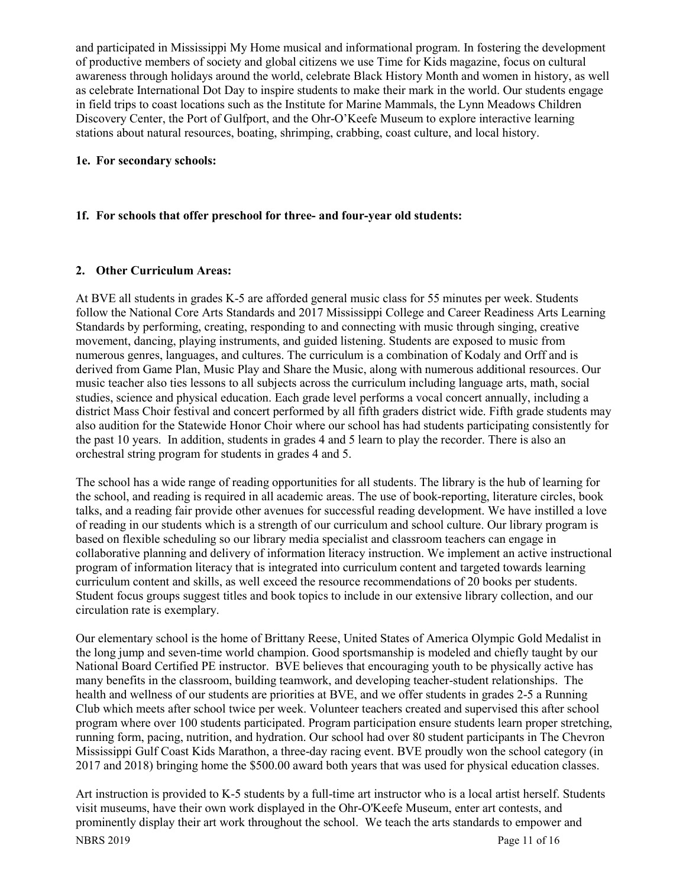and participated in Mississippi My Home musical and informational program. In fostering the development of productive members of society and global citizens we use Time for Kids magazine, focus on cultural awareness through holidays around the world, celebrate Black History Month and women in history, as well as celebrate International Dot Day to inspire students to make their mark in the world. Our students engage in field trips to coast locations such as the Institute for Marine Mammals, the Lynn Meadows Children Discovery Center, the Port of Gulfport, and the Ohr-O'Keefe Museum to explore interactive learning stations about natural resources, boating, shrimping, crabbing, coast culture, and local history.

#### **1e. For secondary schools:**

# **1f. For schools that offer preschool for three- and four-year old students:**

## **2. Other Curriculum Areas:**

At BVE all students in grades K-5 are afforded general music class for 55 minutes per week. Students follow the National Core Arts Standards and 2017 Mississippi College and Career Readiness Arts Learning Standards by performing, creating, responding to and connecting with music through singing, creative movement, dancing, playing instruments, and guided listening. Students are exposed to music from numerous genres, languages, and cultures. The curriculum is a combination of Kodaly and Orff and is derived from Game Plan, Music Play and Share the Music, along with numerous additional resources. Our music teacher also ties lessons to all subjects across the curriculum including language arts, math, social studies, science and physical education. Each grade level performs a vocal concert annually, including a district Mass Choir festival and concert performed by all fifth graders district wide. Fifth grade students may also audition for the Statewide Honor Choir where our school has had students participating consistently for the past 10 years. In addition, students in grades 4 and 5 learn to play the recorder. There is also an orchestral string program for students in grades 4 and 5.

The school has a wide range of reading opportunities for all students. The library is the hub of learning for the school, and reading is required in all academic areas. The use of book-reporting, literature circles, book talks, and a reading fair provide other avenues for successful reading development. We have instilled a love of reading in our students which is a strength of our curriculum and school culture. Our library program is based on flexible scheduling so our library media specialist and classroom teachers can engage in collaborative planning and delivery of information literacy instruction. We implement an active instructional program of information literacy that is integrated into curriculum content and targeted towards learning curriculum content and skills, as well exceed the resource recommendations of 20 books per students. Student focus groups suggest titles and book topics to include in our extensive library collection, and our circulation rate is exemplary.

Our elementary school is the home of Brittany Reese, United States of America Olympic Gold Medalist in the long jump and seven-time world champion. Good sportsmanship is modeled and chiefly taught by our National Board Certified PE instructor. BVE believes that encouraging youth to be physically active has many benefits in the classroom, building teamwork, and developing teacher-student relationships. The health and wellness of our students are priorities at BVE, and we offer students in grades 2-5 a Running Club which meets after school twice per week. Volunteer teachers created and supervised this after school program where over 100 students participated. Program participation ensure students learn proper stretching, running form, pacing, nutrition, and hydration. Our school had over 80 student participants in The Chevron Mississippi Gulf Coast Kids Marathon, a three-day racing event. BVE proudly won the school category (in 2017 and 2018) bringing home the \$500.00 award both years that was used for physical education classes.

NBRS 2019 Page 11 of 16 Art instruction is provided to K-5 students by a full-time art instructor who is a local artist herself. Students visit museums, have their own work displayed in the Ohr-O'Keefe Museum, enter art contests, and prominently display their art work throughout the school. We teach the arts standards to empower and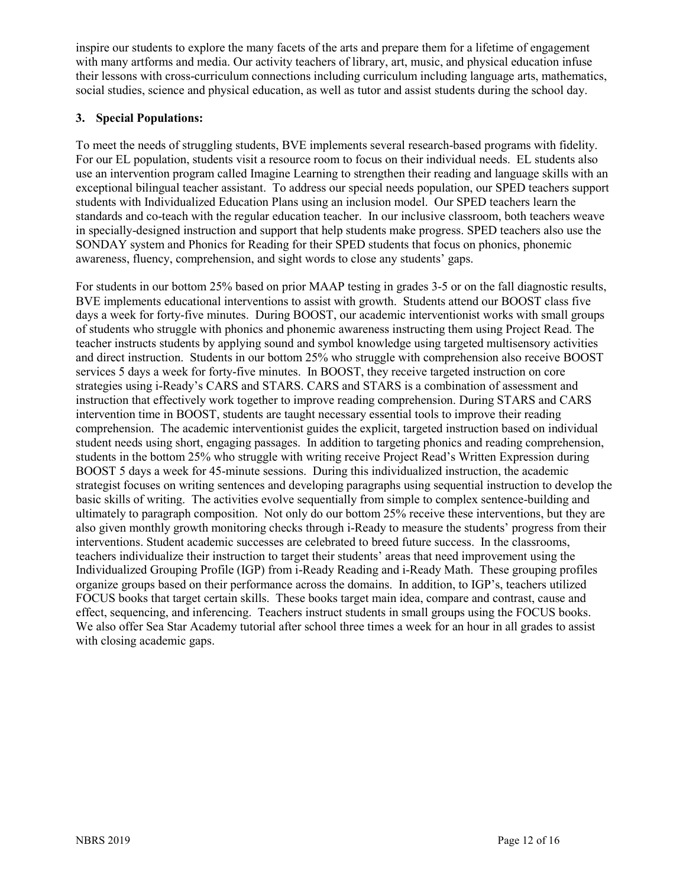inspire our students to explore the many facets of the arts and prepare them for a lifetime of engagement with many artforms and media. Our activity teachers of library, art, music, and physical education infuse their lessons with cross-curriculum connections including curriculum including language arts, mathematics, social studies, science and physical education, as well as tutor and assist students during the school day.

#### **3. Special Populations:**

To meet the needs of struggling students, BVE implements several research-based programs with fidelity. For our EL population, students visit a resource room to focus on their individual needs. EL students also use an intervention program called Imagine Learning to strengthen their reading and language skills with an exceptional bilingual teacher assistant. To address our special needs population, our SPED teachers support students with Individualized Education Plans using an inclusion model. Our SPED teachers learn the standards and co-teach with the regular education teacher. In our inclusive classroom, both teachers weave in specially-designed instruction and support that help students make progress. SPED teachers also use the SONDAY system and Phonics for Reading for their SPED students that focus on phonics, phonemic awareness, fluency, comprehension, and sight words to close any students' gaps.

For students in our bottom 25% based on prior MAAP testing in grades 3-5 or on the fall diagnostic results, BVE implements educational interventions to assist with growth. Students attend our BOOST class five days a week for forty-five minutes. During BOOST, our academic interventionist works with small groups of students who struggle with phonics and phonemic awareness instructing them using Project Read. The teacher instructs students by applying sound and symbol knowledge using targeted multisensory activities and direct instruction. Students in our bottom 25% who struggle with comprehension also receive BOOST services 5 days a week for forty-five minutes. In BOOST, they receive targeted instruction on core strategies using i-Ready's CARS and STARS. CARS and STARS is a combination of assessment and instruction that effectively work together to improve reading comprehension. During STARS and CARS intervention time in BOOST, students are taught necessary essential tools to improve their reading comprehension. The academic interventionist guides the explicit, targeted instruction based on individual student needs using short, engaging passages. In addition to targeting phonics and reading comprehension, students in the bottom 25% who struggle with writing receive Project Read's Written Expression during BOOST 5 days a week for 45-minute sessions. During this individualized instruction, the academic strategist focuses on writing sentences and developing paragraphs using sequential instruction to develop the basic skills of writing. The activities evolve sequentially from simple to complex sentence-building and ultimately to paragraph composition. Not only do our bottom 25% receive these interventions, but they are also given monthly growth monitoring checks through i-Ready to measure the students' progress from their interventions. Student academic successes are celebrated to breed future success. In the classrooms, teachers individualize their instruction to target their students' areas that need improvement using the Individualized Grouping Profile (IGP) from i-Ready Reading and i-Ready Math. These grouping profiles organize groups based on their performance across the domains. In addition, to IGP's, teachers utilized FOCUS books that target certain skills. These books target main idea, compare and contrast, cause and effect, sequencing, and inferencing. Teachers instruct students in small groups using the FOCUS books. We also offer Sea Star Academy tutorial after school three times a week for an hour in all grades to assist with closing academic gaps.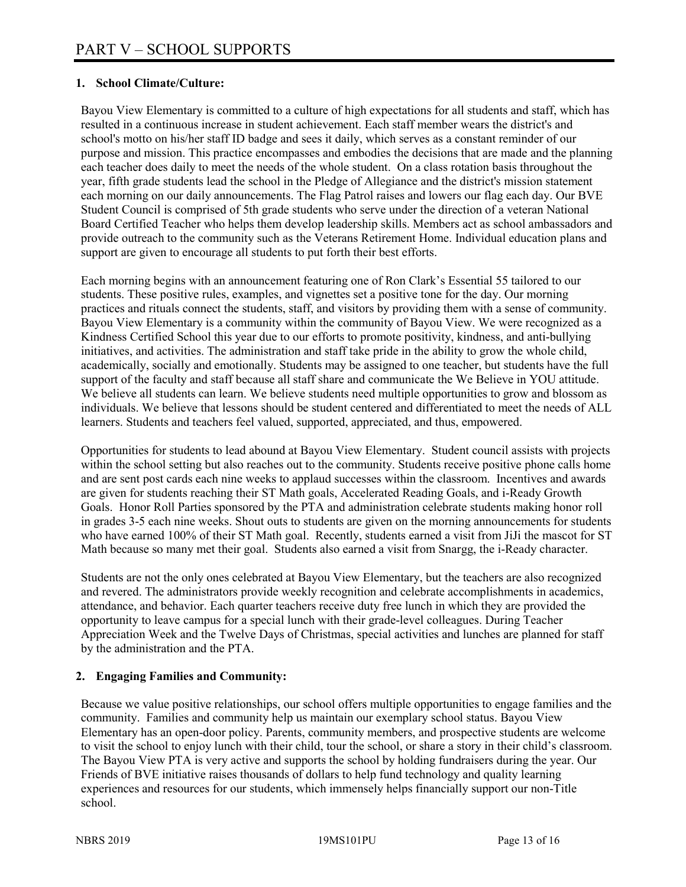#### **1. School Climate/Culture:**

Bayou View Elementary is committed to a culture of high expectations for all students and staff, which has resulted in a continuous increase in student achievement. Each staff member wears the district's and school's motto on his/her staff ID badge and sees it daily, which serves as a constant reminder of our purpose and mission. This practice encompasses and embodies the decisions that are made and the planning each teacher does daily to meet the needs of the whole student. On a class rotation basis throughout the year, fifth grade students lead the school in the Pledge of Allegiance and the district's mission statement each morning on our daily announcements. The Flag Patrol raises and lowers our flag each day. Our BVE Student Council is comprised of 5th grade students who serve under the direction of a veteran National Board Certified Teacher who helps them develop leadership skills. Members act as school ambassadors and provide outreach to the community such as the Veterans Retirement Home. Individual education plans and support are given to encourage all students to put forth their best efforts.

Each morning begins with an announcement featuring one of Ron Clark's Essential 55 tailored to our students. These positive rules, examples, and vignettes set a positive tone for the day. Our morning practices and rituals connect the students, staff, and visitors by providing them with a sense of community. Bayou View Elementary is a community within the community of Bayou View. We were recognized as a Kindness Certified School this year due to our efforts to promote positivity, kindness, and anti-bullying initiatives, and activities. The administration and staff take pride in the ability to grow the whole child, academically, socially and emotionally. Students may be assigned to one teacher, but students have the full support of the faculty and staff because all staff share and communicate the We Believe in YOU attitude. We believe all students can learn. We believe students need multiple opportunities to grow and blossom as individuals. We believe that lessons should be student centered and differentiated to meet the needs of ALL learners. Students and teachers feel valued, supported, appreciated, and thus, empowered.

Opportunities for students to lead abound at Bayou View Elementary. Student council assists with projects within the school setting but also reaches out to the community. Students receive positive phone calls home and are sent post cards each nine weeks to applaud successes within the classroom. Incentives and awards are given for students reaching their ST Math goals, Accelerated Reading Goals, and i-Ready Growth Goals. Honor Roll Parties sponsored by the PTA and administration celebrate students making honor roll in grades 3-5 each nine weeks. Shout outs to students are given on the morning announcements for students who have earned 100% of their ST Math goal. Recently, students earned a visit from JiJi the mascot for ST Math because so many met their goal. Students also earned a visit from Snargg, the i-Ready character.

Students are not the only ones celebrated at Bayou View Elementary, but the teachers are also recognized and revered. The administrators provide weekly recognition and celebrate accomplishments in academics, attendance, and behavior. Each quarter teachers receive duty free lunch in which they are provided the opportunity to leave campus for a special lunch with their grade-level colleagues. During Teacher Appreciation Week and the Twelve Days of Christmas, special activities and lunches are planned for staff by the administration and the PTA.

#### **2. Engaging Families and Community:**

Because we value positive relationships, our school offers multiple opportunities to engage families and the community. Families and community help us maintain our exemplary school status. Bayou View Elementary has an open-door policy. Parents, community members, and prospective students are welcome to visit the school to enjoy lunch with their child, tour the school, or share a story in their child's classroom. The Bayou View PTA is very active and supports the school by holding fundraisers during the year. Our Friends of BVE initiative raises thousands of dollars to help fund technology and quality learning experiences and resources for our students, which immensely helps financially support our non-Title school.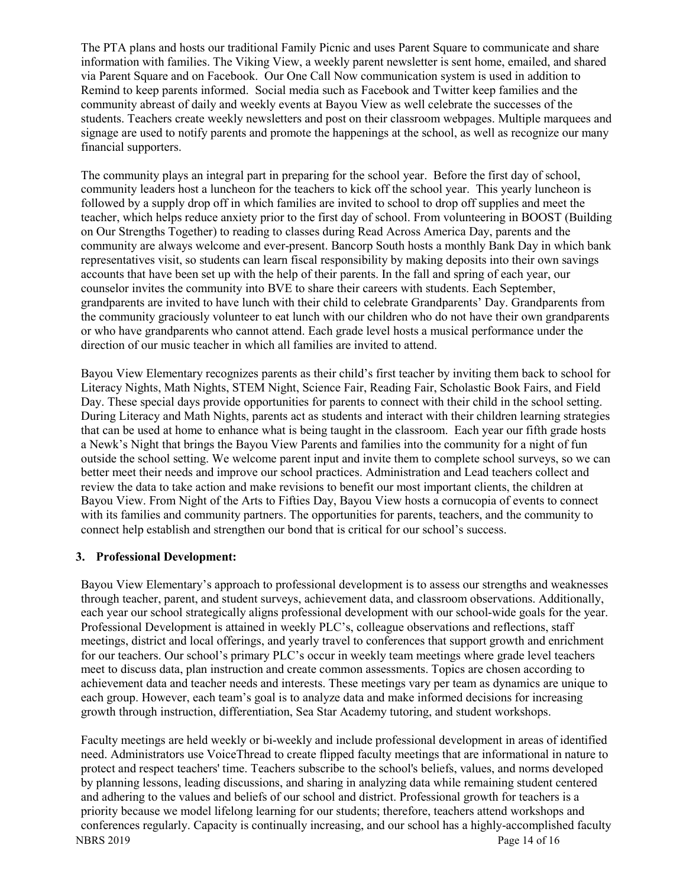The PTA plans and hosts our traditional Family Picnic and uses Parent Square to communicate and share information with families. The Viking View, a weekly parent newsletter is sent home, emailed, and shared via Parent Square and on Facebook. Our One Call Now communication system is used in addition to Remind to keep parents informed. Social media such as Facebook and Twitter keep families and the community abreast of daily and weekly events at Bayou View as well celebrate the successes of the students. Teachers create weekly newsletters and post on their classroom webpages. Multiple marquees and signage are used to notify parents and promote the happenings at the school, as well as recognize our many financial supporters.

The community plays an integral part in preparing for the school year. Before the first day of school, community leaders host a luncheon for the teachers to kick off the school year. This yearly luncheon is followed by a supply drop off in which families are invited to school to drop off supplies and meet the teacher, which helps reduce anxiety prior to the first day of school. From volunteering in BOOST (Building on Our Strengths Together) to reading to classes during Read Across America Day, parents and the community are always welcome and ever-present. Bancorp South hosts a monthly Bank Day in which bank representatives visit, so students can learn fiscal responsibility by making deposits into their own savings accounts that have been set up with the help of their parents. In the fall and spring of each year, our counselor invites the community into BVE to share their careers with students. Each September, grandparents are invited to have lunch with their child to celebrate Grandparents' Day. Grandparents from the community graciously volunteer to eat lunch with our children who do not have their own grandparents or who have grandparents who cannot attend. Each grade level hosts a musical performance under the direction of our music teacher in which all families are invited to attend.

Bayou View Elementary recognizes parents as their child's first teacher by inviting them back to school for Literacy Nights, Math Nights, STEM Night, Science Fair, Reading Fair, Scholastic Book Fairs, and Field Day. These special days provide opportunities for parents to connect with their child in the school setting. During Literacy and Math Nights, parents act as students and interact with their children learning strategies that can be used at home to enhance what is being taught in the classroom. Each year our fifth grade hosts a Newk's Night that brings the Bayou View Parents and families into the community for a night of fun outside the school setting. We welcome parent input and invite them to complete school surveys, so we can better meet their needs and improve our school practices. Administration and Lead teachers collect and review the data to take action and make revisions to benefit our most important clients, the children at Bayou View. From Night of the Arts to Fifties Day, Bayou View hosts a cornucopia of events to connect with its families and community partners. The opportunities for parents, teachers, and the community to connect help establish and strengthen our bond that is critical for our school's success.

#### **3. Professional Development:**

Bayou View Elementary's approach to professional development is to assess our strengths and weaknesses through teacher, parent, and student surveys, achievement data, and classroom observations. Additionally, each year our school strategically aligns professional development with our school-wide goals for the year. Professional Development is attained in weekly PLC's, colleague observations and reflections, staff meetings, district and local offerings, and yearly travel to conferences that support growth and enrichment for our teachers. Our school's primary PLC's occur in weekly team meetings where grade level teachers meet to discuss data, plan instruction and create common assessments. Topics are chosen according to achievement data and teacher needs and interests. These meetings vary per team as dynamics are unique to each group. However, each team's goal is to analyze data and make informed decisions for increasing growth through instruction, differentiation, Sea Star Academy tutoring, and student workshops.

NBRS 2019 Page 14 of 16 Faculty meetings are held weekly or bi-weekly and include professional development in areas of identified need. Administrators use VoiceThread to create flipped faculty meetings that are informational in nature to protect and respect teachers' time. Teachers subscribe to the school's beliefs, values, and norms developed by planning lessons, leading discussions, and sharing in analyzing data while remaining student centered and adhering to the values and beliefs of our school and district. Professional growth for teachers is a priority because we model lifelong learning for our students; therefore, teachers attend workshops and conferences regularly. Capacity is continually increasing, and our school has a highly-accomplished faculty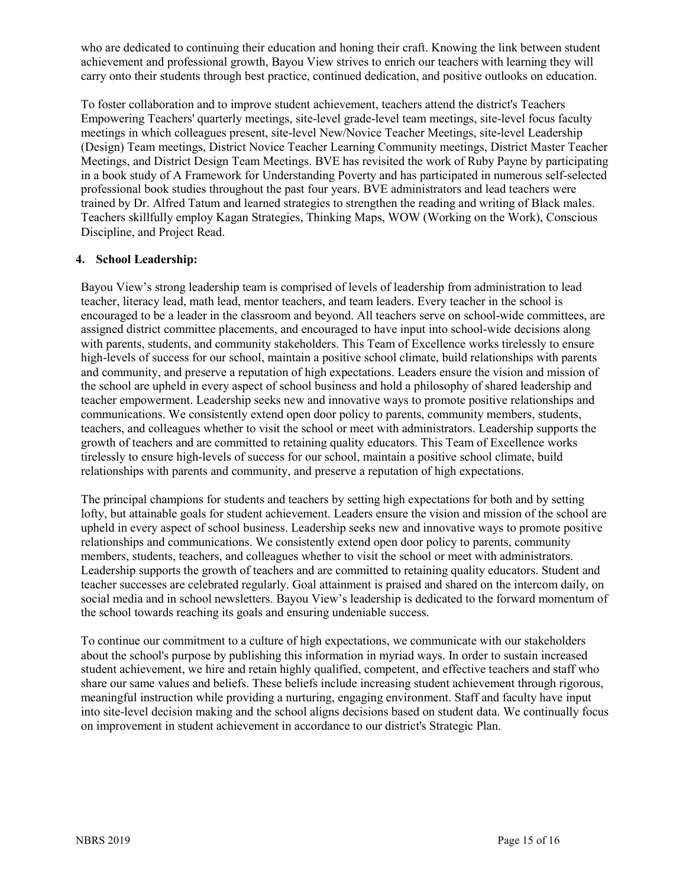who are dedicated to continuing their education and honing their craft. Knowing the link between student achievement and professional growth, Bayou View strives to enrich our teachers with learning they will carry onto their students through best practice, continued dedication, and positive outlooks on education.

To foster collaboration and to improve student achievement, teachers attend the district's Teachers Empowering Teachers' quarterly meetings, site-level grade-level team meetings, site-level focus faculty meetings in which colleagues present, site-level New/Novice Teacher Meetings, site-level Leadership (Design) Team meetings, District Novice Teacher Learning Community meetings, District Master Teacher Meetings, and District Design Team Meetings. BVE has revisited the work of Ruby Payne by participating in a book study of A Framework for Understanding Poverty and has participated in numerous self-selected professional book studies throughout the past four years. BVE administrators and lead teachers were trained by Dr. Alfred Tatum and learned strategies to strengthen the reading and writing of Black males. Teachers skillfully employ Kagan Strategies, Thinking Maps, WOW (Working on the Work), Conscious Discipline, and Project Read.

#### **4. School Leadership:**

Bayou View's strong leadership team is comprised of levels of leadership from administration to lead teacher, literacy lead, math lead, mentor teachers, and team leaders. Every teacher in the school is encouraged to be a leader in the classroom and beyond. All teachers serve on school-wide committees, are assigned district committee placements, and encouraged to have input into school-wide decisions along with parents, students, and community stakeholders. This Team of Excellence works tirelessly to ensure high-levels of success for our school, maintain a positive school climate, build relationships with parents and community, and preserve a reputation of high expectations. Leaders ensure the vision and mission of the school are upheld in every aspect of school business and hold a philosophy of shared leadership and teacher empowerment. Leadership seeks new and innovative ways to promote positive relationships and communications. We consistently extend open door policy to parents, community members, students, teachers, and colleagues whether to visit the school or meet with administrators. Leadership supports the growth of teachers and are committed to retaining quality educators. This Team of Excellence works tirelessly to ensure high-levels of success for our school, maintain a positive school climate, build relationships with parents and community, and preserve a reputation of high expectations.

The principal champions for students and teachers by setting high expectations for both and by setting lofty, but attainable goals for student achievement. Leaders ensure the vision and mission of the school are upheld in every aspect of school business. Leadership seeks new and innovative ways to promote positive relationships and communications. We consistently extend open door policy to parents, community members, students, teachers, and colleagues whether to visit the school or meet with administrators. Leadership supports the growth of teachers and are committed to retaining quality educators. Student and teacher successes are celebrated regularly. Goal attainment is praised and shared on the intercom daily, on social media and in school newsletters. Bayou View's leadership is dedicated to the forward momentum of the school towards reaching its goals and ensuring undeniable success.

To continue our commitment to a culture of high expectations, we communicate with our stakeholders about the school's purpose by publishing this information in myriad ways. In order to sustain increased student achievement, we hire and retain highly qualified, competent, and effective teachers and staff who share our same values and beliefs. These beliefs include increasing student achievement through rigorous, meaningful instruction while providing a nurturing, engaging environment. Staff and faculty have input into site-level decision making and the school aligns decisions based on student data. We continually focus on improvement in student achievement in accordance to our district's Strategic Plan.